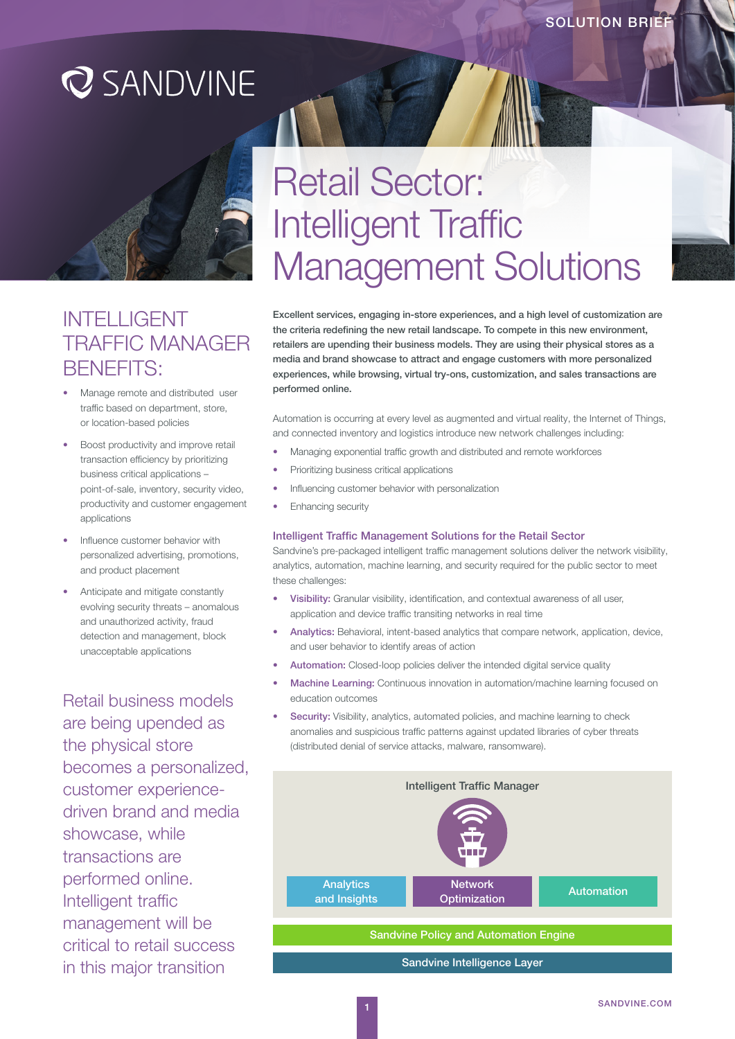## **Q** SANDVINE



### INTELLIGENT TRAFFIC MANAGER BENEFITS:

- Manage remote and distributed user traffic based on department, store, or location-based policies
- Boost productivity and improve retail transaction efficiency by prioritizing business critical applications – point-of-sale, inventory, security video, productivity and customer engagement applications
- Influence customer behavior with personalized advertising, promotions, and product placement
- Anticipate and mitigate constantly evolving security threats – anomalous and unauthorized activity, fraud detection and management, block unacceptable applications

Retail business models are being upended as the physical store becomes a personalized, customer experiencedriven brand and media showcase, while transactions are performed online. Intelligent traffic management will be critical to retail success in this major transition

# Retail Sector: Intelligent Traffic Management Solutions

Excellent services, engaging in-store experiences, and a high level of customization are the criteria redefining the new retail landscape. To compete in this new environment, retailers are upending their business models. They are using their physical stores as a media and brand showcase to attract and engage customers with more personalized experiences, while browsing, virtual try-ons, customization, and sales transactions are performed online.

Automation is occurring at every level as augmented and virtual reality, the Internet of Things, and connected inventory and logistics introduce new network challenges including:

- Managing exponential traffic growth and distributed and remote workforces
- Prioritizing business critical applications
- Influencing customer behavior with personalization
- Enhancing security

#### Intelligent Traffic Management Solutions for the Retail Sector

Sandvine's pre-packaged intelligent traffic management solutions deliver the network visibility, analytics, automation, machine learning, and security required for the public sector to meet these challenges:

- Visibility: Granular visibility, identification, and contextual awareness of all user, application and device traffic transiting networks in real time
- Analytics: Behavioral, intent-based analytics that compare network, application, device, and user behavior to identify areas of action
- Automation: Closed-loop policies deliver the intended digital service quality
- Machine Learning: Continuous innovation in automation/machine learning focused on education outcomes
- Security: Visibility, analytics, automated policies, and machine learning to check anomalies and suspicious traffic patterns against updated libraries of cyber threats (distributed denial of service attacks, malware, ransomware).

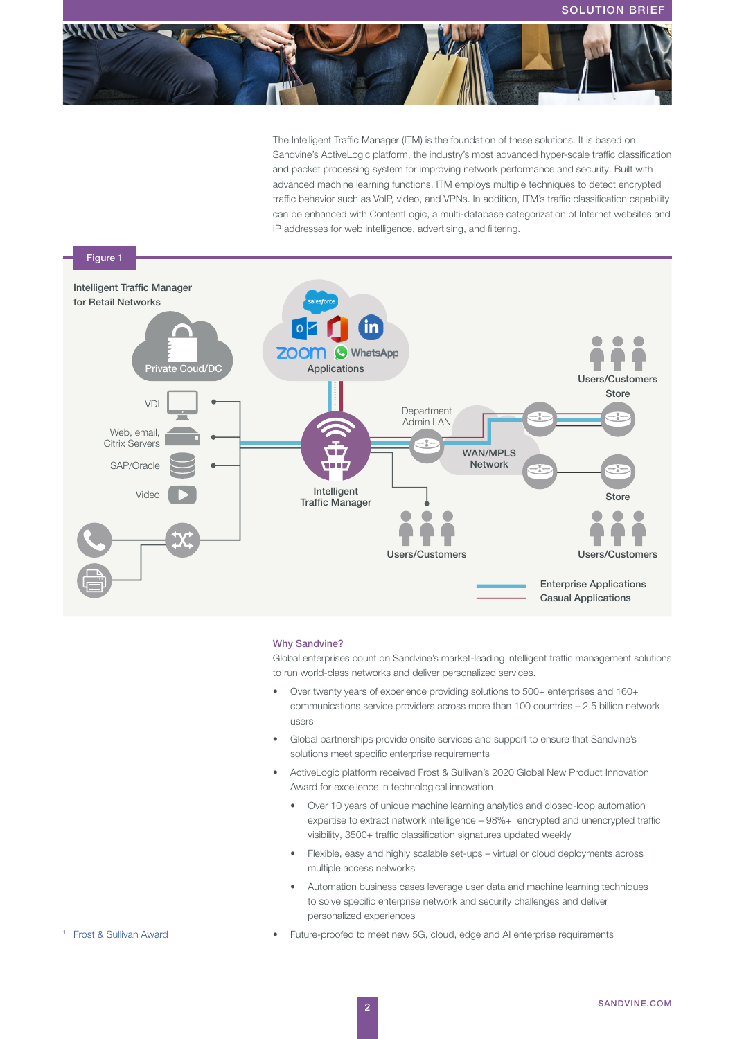

The Intelligent Traffic Manager (ITM) is the foundation of these solutions. It is based on Sandvine's ActiveLogic platform, the industry's most advanced hyper-scale traffic classification and packet processing system for improving network performance and security. Built with advanced machine learning functions, ITM employs multiple techniques to detect encrypted traffic behavior such as VoIP, video, and VPNs. In addition, ITM's traffic classification capability can be enhanced with ContentLogic, a multi-database categorization of Internet websites and IP addresses for web intelligence, advertising, and filtering.



#### Why Sandvine?

Global enterprises count on Sandvine's market-leading intelligent traffic management solutions to run world-class networks and deliver personalized services.

- Over twenty years of experience providing solutions to 500+ enterprises and 160+ communications service providers across more than 100 countries – 2.5 billion network users
- Global partnerships provide onsite services and support to ensure that Sandvine's solutions meet specific enterprise requirements
- ActiveLogic platform received Frost & Sullivan's 2020 Global New Product Innovation Award for excellence in technological innovation
	- Over 10 years of unique machine learning analytics and closed-loop automation expertise to extract network intelligence – 98%+ encrypted and unencrypted traffic visibility, 3500+ traffic classification signatures updated weekly
	- Flexible, easy and highly scalable set-ups virtual or cloud deployments across multiple access networks
	- Automation business cases leverage user data and machine learning techniques to solve specific enterprise network and security challenges and deliver personalized experiences
- Future-proofed to meet new 5G, cloud, edge and AI enterprise requirements

#### **Frost & Sullivan Award**